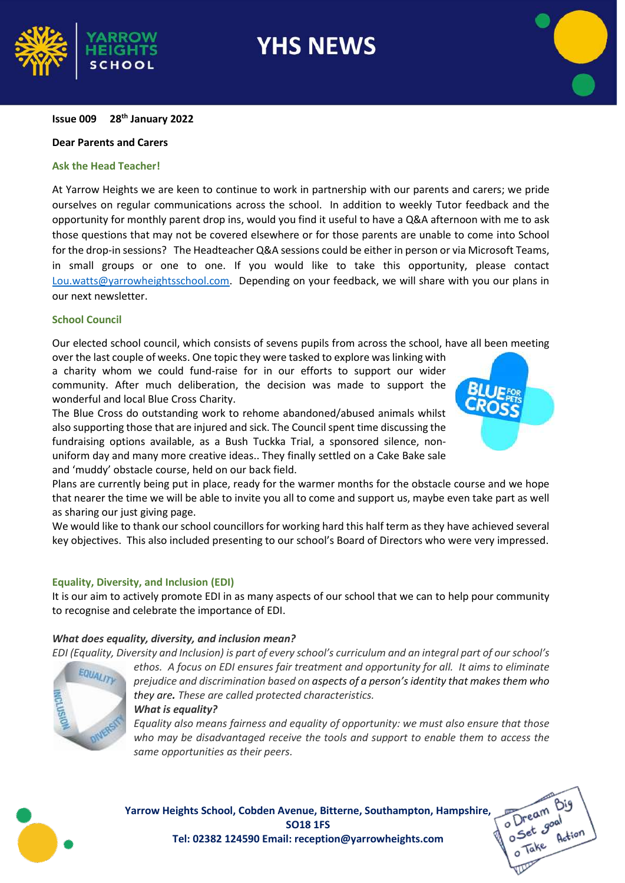

# **Issue 009 28th January 2022**

# **Dear Parents and Carers**

# **Ask the Head Teacher!**

At Yarrow Heights we are keen to continue to work in partnership with our parents and carers; we pride ourselves on regular communications across the school. In addition to weekly Tutor feedback and the opportunity for monthly parent drop ins, would you find it useful to have a Q&A afternoon with me to ask those questions that may not be covered elsewhere or for those parents are unable to come into School for the drop-in sessions? The Headteacher Q&A sessions could be either in person or via Microsoft Teams, in small groups or one to one. If you would like to take this opportunity, please contact [Lou.watts@yarrowheightsschool.com.](mailto:Lou.watts@yarrowheightsschool.com) Depending on your feedback, we will share with you our plans in our next newsletter.

#### **School Council**

Our elected school council, which consists of sevens pupils from across the school, have all been meeting

over the last couple of weeks. One topic they were tasked to explore was linking with a charity whom we could fund-raise for in our efforts to support our wider community. After much deliberation, the decision was made to support the wonderful and local Blue Cross Charity.

The Blue Cross do outstanding work to rehome abandoned/abused animals whilst also supporting those that are injured and sick. The Council spent time discussing the fundraising options available, as a Bush Tuckka Trial, a sponsored silence, nonuniform day and many more creative ideas.. They finally settled on a Cake Bake sale and 'muddy' obstacle course, held on our back field.



Plans are currently being put in place, ready for the warmer months for the obstacle course and we hope that nearer the time we will be able to invite you all to come and support us, maybe even take part as well as sharing our just giving page.

We would like to thank our school councillors for working hard this half term as they have achieved several key objectives. This also included presenting to our school's Board of Directors who were very impressed.

# **Equality, Diversity, and Inclusion (EDI)**

It is our aim to actively promote EDI in as many aspects of our school that we can to help pour community to recognise and celebrate the importance of EDI.

# *What does equality, diversity, and inclusion mean?*

*EDI (Equality, Diversity and Inclusion) is part of every school's curriculum and an integral part of our school's*



*ethos. A focus on EDI ensures fair treatment and opportunity for all. It aims to eliminate prejudice and discrimination based on aspects of a person's identity that makes them who they are. These are called protected characteristics. What is equality?*

*Equality also means fairness and equality of opportunity: we must also ensure that those who may be disadvantaged receive the tools and support to enable them to access the same opportunities as their peers.*



**Yarrow Heights School, Cobden Avenue, Bitterne, Southampton, Hampshire, SO18 1FS Tel: 02382 124590 Email: reception@yarrowheights.com**

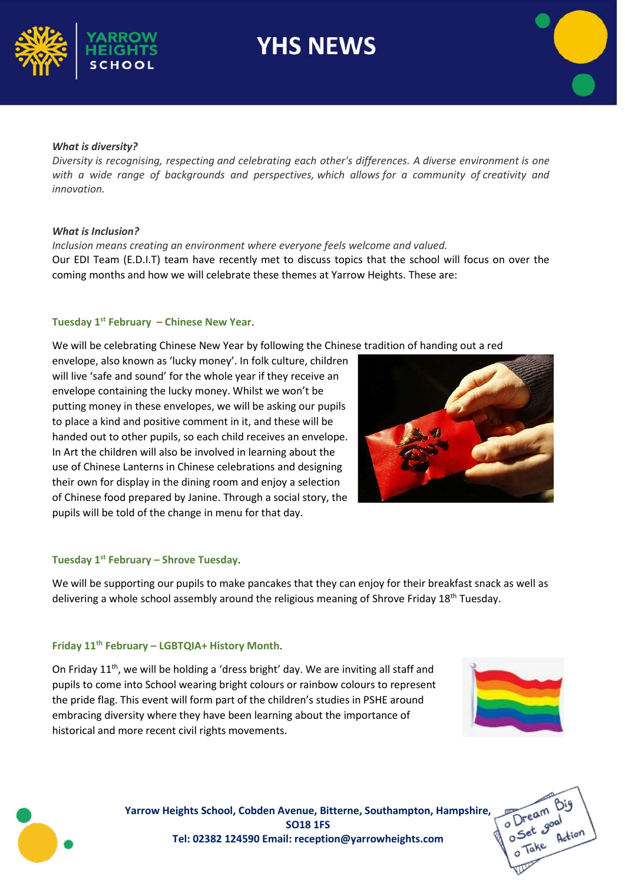



#### *What is diversity?*

*Diversity is recognising, respecting and celebrating each other's differences. A diverse environment is one with a wide range of backgrounds and perspectives, which allows for a community of creativity and innovation.*

#### *What is Inclusion?*

*Inclusion means creating an environment where everyone feels welcome and valued.*  Our EDI Team (E.D.I.T) team have recently met to discuss topics that the school will focus on over the coming months and how we will celebrate these themes at Yarrow Heights. These are:

#### **Tuesday 1st February – Chinese New Year**.

We will be celebrating Chinese New Year by following the Chinese tradition of handing out a red

envelope, also known as 'lucky money'. In folk culture, children will live 'safe and sound' for the whole year if they receive an envelope containing the lucky money. Whilst we won't be putting money in these envelopes, we will be asking our pupils to place a kind and positive comment in it, and these will be handed out to other pupils, so each child receives an envelope. In Art the children will also be involved in learning about the use of Chinese Lanterns in Chinese celebrations and designing their own for display in the dining room and enjoy a selection of Chinese food prepared by Janine. Through a social story, the pupils will be told of the change in menu for that day.



# **Tuesday 1st February – Shrove Tuesday**.

We will be supporting our pupils to make pancakes that they can enjoy for their breakfast snack as well as delivering a whole school assembly around the religious meaning of Shrove Friday 18<sup>th</sup> Tuesday.

#### **Friday 11th February – LGBTQIA+ History Month**.

On Friday  $11<sup>th</sup>$ , we will be holding a 'dress bright' day. We are inviting all staff and pupils to come into School wearing bright colours or rainbow colours to represent the pride flag. This event will form part of the children's studies in PSHE around embracing diversity where they have been learning about the importance of historical and more recent civil rights movements.





**Yarrow Heights School, Cobden Avenue, Bitterne, Southampton, Hampshire, SO18 1FS Tel: 02382 124590 Email: reception@yarrowheights.com**

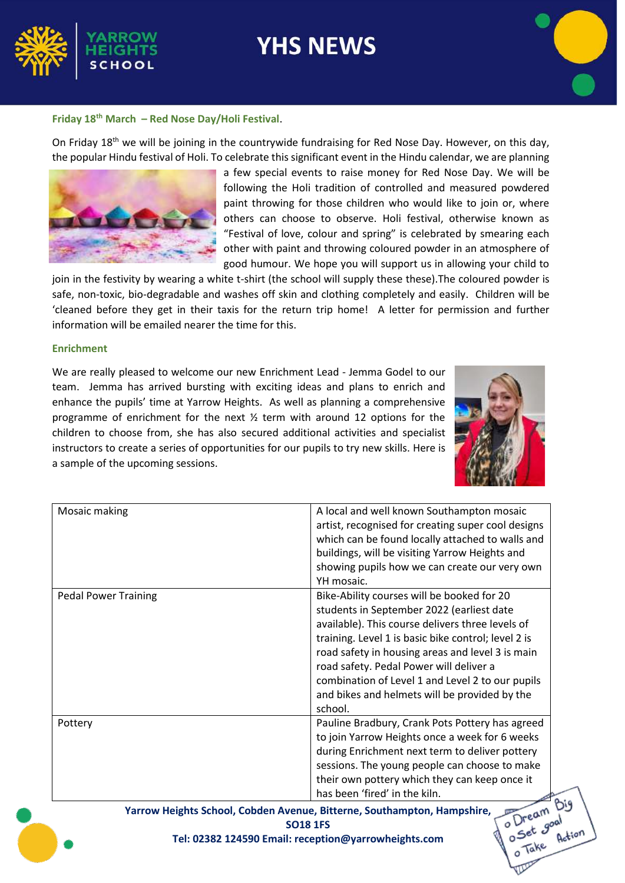

# **Friday 18th March – Red Nose Day/Holi Festival**.

On Friday 18<sup>th</sup> we will be joining in the countrywide fundraising for Red Nose Day. However, on this day, the popular Hindu festival of Holi. To celebrate this significant event in the Hindu calendar, we are planning



a few special events to raise money for Red Nose Day. We will be following the Holi tradition of controlled and measured powdered paint throwing for those children who would like to join or, where others can choose to observe. Holi festival, otherwise known as "Festival of love, colour and spring" is celebrated by smearing each other with paint and throwing coloured powder in an atmosphere of good humour. We hope you will support us in allowing your child to

join in the festivity by wearing a white t-shirt (the school will supply these these).The coloured powder is safe, non-toxic, bio-degradable and washes off skin and clothing completely and easily. Children will be 'cleaned before they get in their taxis for the return trip home! A letter for permission and further information will be emailed nearer the time for this.

# **Enrichment**

We are really pleased to welcome our new Enrichment Lead - Jemma Godel to our team. Jemma has arrived bursting with exciting ideas and plans to enrich and enhance the pupils' time at Yarrow Heights. As well as planning a comprehensive programme of enrichment for the next  $\frac{1}{2}$  term with around 12 options for the children to choose from, she has also secured additional activities and specialist instructors to create a series of opportunities for our pupils to try new skills. Here is a sample of the upcoming sessions.



| Mosaic making                                                                         | A local and well known Southampton mosaic           |
|---------------------------------------------------------------------------------------|-----------------------------------------------------|
|                                                                                       | artist, recognised for creating super cool designs  |
|                                                                                       | which can be found locally attached to walls and    |
|                                                                                       | buildings, will be visiting Yarrow Heights and      |
|                                                                                       | showing pupils how we can create our very own       |
|                                                                                       | YH mosaic.                                          |
| <b>Pedal Power Training</b>                                                           | Bike-Ability courses will be booked for 20          |
|                                                                                       | students in September 2022 (earliest date           |
|                                                                                       | available). This course delivers three levels of    |
|                                                                                       | training. Level 1 is basic bike control; level 2 is |
|                                                                                       | road safety in housing areas and level 3 is main    |
|                                                                                       | road safety. Pedal Power will deliver a             |
|                                                                                       | combination of Level 1 and Level 2 to our pupils    |
|                                                                                       | and bikes and helmets will be provided by the       |
|                                                                                       | school.                                             |
| Pottery                                                                               | Pauline Bradbury, Crank Pots Pottery has agreed     |
|                                                                                       | to join Yarrow Heights once a week for 6 weeks      |
|                                                                                       | during Enrichment next term to deliver pottery      |
|                                                                                       | sessions. The young people can choose to make       |
|                                                                                       | their own pottery which they can keep once it       |
|                                                                                       | has been 'fired' in the kiln.                       |
| o Dream Bi<br>Yarrow Heights School, Cobden Avenue, Bitterne, Southampton, Hampshire, |                                                     |
| <b>SO18 1FS</b>                                                                       |                                                     |
| Tel: 02382 124590 Email: reception@yarrowheights.com                                  |                                                     |
|                                                                                       | Tak                                                 |